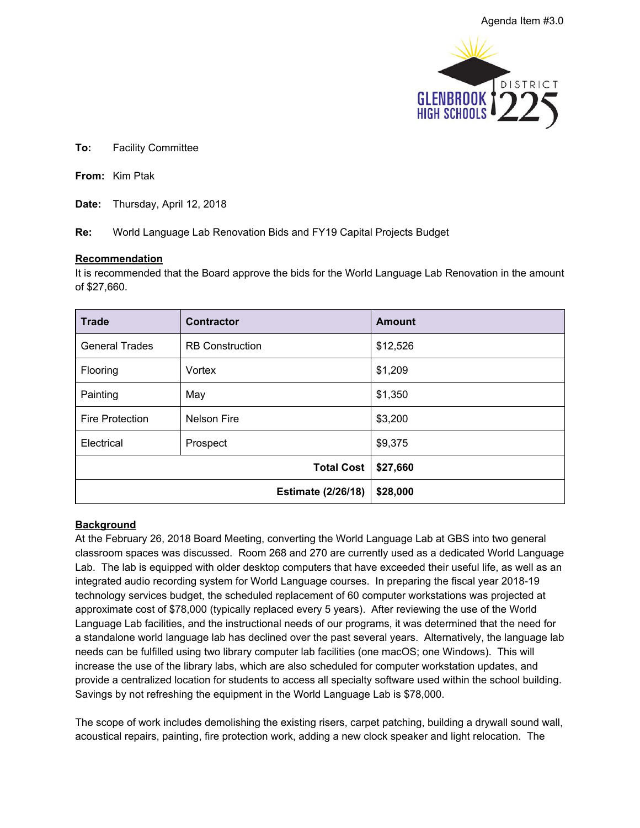

**To:** Facility Committee

**From:** Kim Ptak

**Date:** Thursday, April 12, 2018

**Re:** World Language Lab Renovation Bids and FY19 Capital Projects Budget

## **Recommendation**

It is recommended that the Board approve the bids for the World Language Lab Renovation in the amount of \$27,660.

| <b>Trade</b>           | <b>Contractor</b>         | <b>Amount</b> |
|------------------------|---------------------------|---------------|
| <b>General Trades</b>  | <b>RB</b> Construction    | \$12,526      |
| Flooring               | Vortex                    | \$1,209       |
| Painting               | May                       | \$1,350       |
| <b>Fire Protection</b> | <b>Nelson Fire</b>        | \$3,200       |
| Electrical             | Prospect                  | \$9,375       |
|                        | <b>Total Cost</b>         | \$27,660      |
|                        | <b>Estimate (2/26/18)</b> | \$28,000      |

## **Background**

At the February 26, 2018 Board Meeting, converting the World Language Lab at GBS into two general classroom spaces was discussed. Room 268 and 270 are currently used as a dedicated World Language Lab. The lab is equipped with older desktop computers that have exceeded their useful life, as well as an integrated audio recording system for World Language courses. In preparing the fiscal year 2018-19 technology services budget, the scheduled replacement of 60 computer workstations was projected at approximate cost of \$78,000 (typically replaced every 5 years). After reviewing the use of the World Language Lab facilities, and the instructional needs of our programs, it was determined that the need for a standalone world language lab has declined over the past several years. Alternatively, the language lab needs can be fulfilled using two library computer lab facilities (one macOS; one Windows). This will increase the use of the library labs, which are also scheduled for computer workstation updates, and provide a centralized location for students to access all specialty software used within the school building. Savings by not refreshing the equipment in the World Language Lab is \$78,000.

The scope of work includes demolishing the existing risers, carpet patching, building a drywall sound wall, acoustical repairs, painting, fire protection work, adding a new clock speaker and light relocation. The